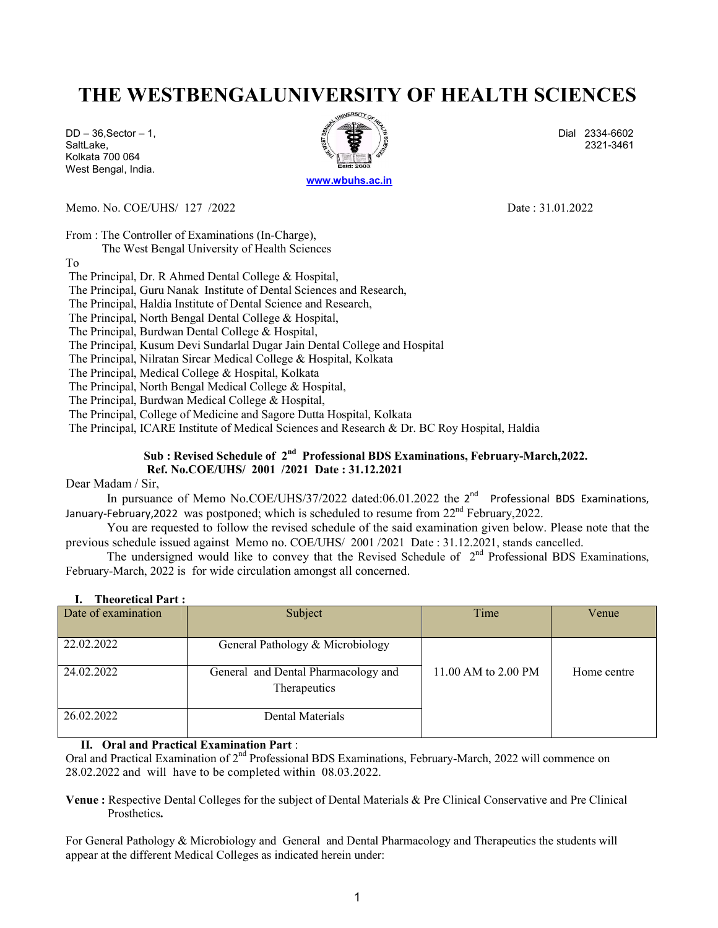# THE WESTBENGALUNIVERSITY OF HEALTH SCIENCES

Kolkata 700 064 West Bengal, India.



Memo. No. COE/UHS/ 127 /2022 Date: 31.01.2022

From : The Controller of Examinations (In-Charge),

The West Bengal University of Health Sciences

To

The Principal, Dr. R Ahmed Dental College & Hospital,

The Principal, Guru Nanak Institute of Dental Sciences and Research,

The Principal, Haldia Institute of Dental Science and Research,

The Principal, North Bengal Dental College & Hospital,

The Principal, Burdwan Dental College & Hospital,

The Principal, Kusum Devi Sundarlal Dugar Jain Dental College and Hospital

The Principal, Nilratan Sircar Medical College & Hospital, Kolkata

The Principal, Medical College & Hospital, Kolkata

The Principal, North Bengal Medical College & Hospital,

The Principal, Burdwan Medical College & Hospital,

The Principal, College of Medicine and Sagore Dutta Hospital, Kolkata

The Principal, ICARE Institute of Medical Sciences and Research & Dr. BC Roy Hospital, Haldia

### Sub : Revised Schedule of 2<sup>nd</sup> Professional BDS Examinations, February-March, 2022. Ref. No.COE/UHS/ 2001 /2021 Date : 31.12.2021

Dear Madam / Sir,

In pursuance of Memo No.COE/UHS/37/2022 dated:06.01.2022 the 2<sup>nd</sup> Professional BDS Examinations, January-February,2022 was postponed; which is scheduled to resume from 22<sup>nd</sup> February,2022.

You are requested to follow the revised schedule of the said examination given below. Please note that the previous schedule issued against Memo no. COE/UHS/ 2001 /2021 Date : 31.12.2021, stands cancelled.

The undersigned would like to convey that the Revised Schedule of  $2<sup>nd</sup>$  Professional BDS Examinations, February-March, 2022 is for wide circulation amongst all concerned.

| <b>Ineoretical Part :</b> |                                     |                     |             |
|---------------------------|-------------------------------------|---------------------|-------------|
| Date of examination       | Subject                             | Time                | Venue       |
|                           |                                     |                     |             |
| 22.02.2022                | General Pathology & Microbiology    |                     |             |
|                           |                                     |                     |             |
| 24.02.2022                | General and Dental Pharmacology and | 11.00 AM to 2.00 PM | Home centre |
|                           | Therapeutics                        |                     |             |
|                           |                                     |                     |             |
| 26.02.2022                | Dental Materials                    |                     |             |
|                           |                                     |                     |             |

### I. Theoretical Part is a set of the set of the set of the set of the set of the set of the set of the set of the set of the set of the set of the set of the set of the set of the set of the set of the set of the set of the

#### II. Oral and Practical Examination Part :

Oral and Practical Examination of 2<sup>nd</sup> Professional BDS Examinations, February-March, 2022 will commence on 28.02.2022 and will have to be completed within 08.03.2022.

Venue : Respective Dental Colleges for the subject of Dental Materials & Pre Clinical Conservative and Pre Clinical Prosthetics.

For General Pathology & Microbiology and General and Dental Pharmacology and Therapeutics the students will appear at the different Medical Colleges as indicated herein under: